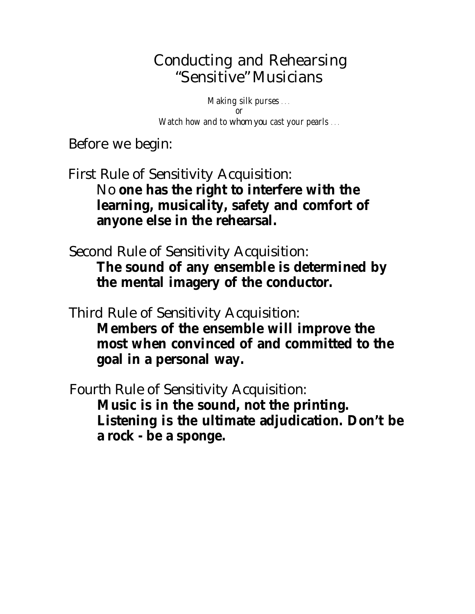## Conducting and Rehearsing "Sensitive" Musicians

*Making silk purses* . . . *Watch how and to whom you cast your pearls* . . . *or*

Before we begin:

- First Rule of Sensitivity Acquisition: No **one has the right to interfere with the learning, musicality, safety and comfort of anyone else in the rehearsal.**
- Second Rule of Sensitivity Acquisition: **The sound of any ensemble is determined by the mental imagery of the conductor.**
- Third Rule of Sensitivity Acquisition: **Members of the ensemble will improve the most when convinced of and committed to the goal in a personal way.**
- Fourth Rule of Sensitivity Acquisition: **Music is in the sound, not the printing. Listening is the ultimate adjudication. Don't be a rock - be a sponge.**